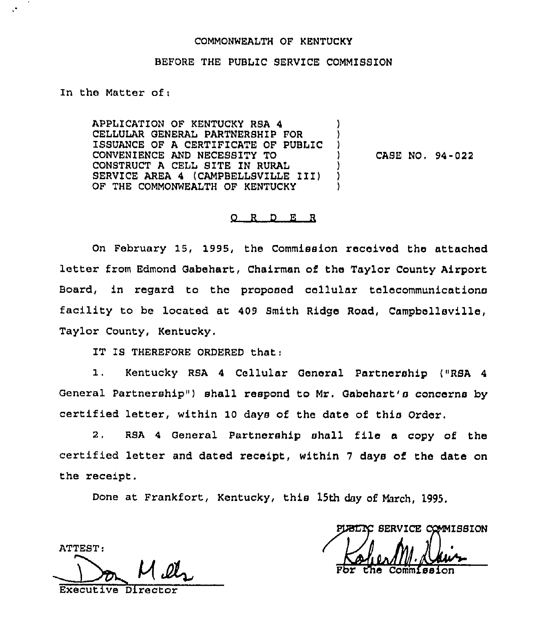## COMMONWEAITH OF KENTUCKY

## BEFORE THE PUBLIC SERVICE COMMISSION

## In the Matter of $~$ .

APPLICATION OF KENTUCKY RSA 4 CELLULAR GENERAL PARTNERSHIP FOR ISSUANCE OF A CERTIFICATE OF PUBLIC CONVENIENCE AND NECESSITY TO CONSTRUCT <sup>A</sup> CELL SITE IN RURAL SERVICE AREA <sup>4</sup> {CAMPBELLSVILLE III) OF THE COMMONWEALTH OF KENTUCKY ) ) ) ) ) )

) CASE NO, 94-022

## 0 <sup>R</sup> <sup>D</sup> E <sup>R</sup>

On February 15, 1995, the Commission received the attached letter from Edmond Gabehart, Chairman of the Taylor County Airport Board, in regard to tho proposed cellular telecommunications facility to be located at 409 Smith Ridge Road, Campbellsville, Taylor County, Kentucky.

IT IS THEREFORE ORDERED that.

1. Kentucky RSA <sup>4</sup> Cellular General Partnership {"RSA <sup>4</sup> General Partnership") shall respond to Mr. Gabehart's concerns by certified letter, within 10 days of the date of this Order.

2, RSA <sup>4</sup> General Partnership shall file a copy of the certified letter and dated receipt, within <sup>7</sup> days of the date on the receipt.

Done at Frankfort, Kentucky, this 15th day of March, 1995.

ATTEST:

Executive Director

PUBLIC SERVICE COMMISSION I

Fbr the Commissio